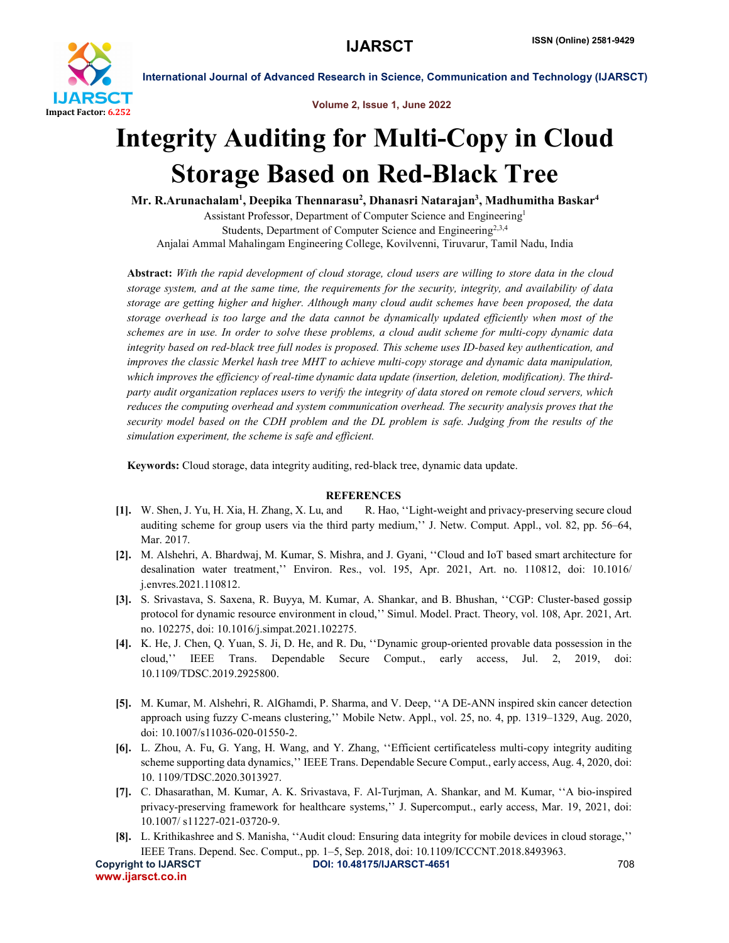

International Journal of Advanced Research in Science, Communication and Technology (IJARSCT)

Volume 2, Issue 1, June 2022

# Integrity Auditing for Multi-Copy in Cloud Storage Based on Red-Black Tree

Mr. R.Arunachalam<sup>1</sup>, Deepika Thennarasu<sup>2</sup>, Dhanasri Natarajan<sup>3</sup>, Madhumitha Baskar<sup>4</sup>

Assistant Professor, Department of Computer Science and Engineering1 Students, Department of Computer Science and Engineering<sup>2,3,4</sup> Anjalai Ammal Mahalingam Engineering College, Kovilvenni, Tiruvarur, Tamil Nadu, India

Abstract: *With the rapid development of cloud storage, cloud users are willing to store data in the cloud storage system, and at the same time, the requirements for the security, integrity, and availability of data storage are getting higher and higher. Although many cloud audit schemes have been proposed, the data storage overhead is too large and the data cannot be dynamically updated efficiently when most of the schemes are in use. In order to solve these problems, a cloud audit scheme for multi-copy dynamic data integrity based on red-black tree full nodes is proposed. This scheme uses ID-based key authentication, and improves the classic Merkel hash tree MHT to achieve multi-copy storage and dynamic data manipulation, which improves the efficiency of real-time dynamic data update (insertion, deletion, modification). The thirdparty audit organization replaces users to verify the integrity of data stored on remote cloud servers, which reduces the computing overhead and system communication overhead. The security analysis proves that the security model based on the CDH problem and the DL problem is safe. Judging from the results of the simulation experiment, the scheme is safe and efficient.*

Keywords: Cloud storage, data integrity auditing, red-black tree, dynamic data update.

# **REFERENCES**

- [1]. W. Shen, J. Yu, H. Xia, H. Zhang, X. Lu, and R. Hao, ''Light-weight and privacy-preserving secure cloud auditing scheme for group users via the third party medium,'' J. Netw. Comput. Appl., vol. 82, pp. 56–64, Mar. 2017.
- [2]. M. Alshehri, A. Bhardwaj, M. Kumar, S. Mishra, and J. Gyani, ''Cloud and IoT based smart architecture for desalination water treatment,'' Environ. Res., vol. 195, Apr. 2021, Art. no. 110812, doi: 10.1016/ j.envres.2021.110812.
- [3]. S. Srivastava, S. Saxena, R. Buyya, M. Kumar, A. Shankar, and B. Bhushan, ''CGP: Cluster-based gossip protocol for dynamic resource environment in cloud,'' Simul. Model. Pract. Theory, vol. 108, Apr. 2021, Art. no. 102275, doi: 10.1016/j.simpat.2021.102275.
- [4]. K. He, J. Chen, Q. Yuan, S. Ji, D. He, and R. Du, ''Dynamic group-oriented provable data possession in the cloud,'' IEEE Trans. Dependable Secure Comput., early access, Jul. 2, 2019, doi: 10.1109/TDSC.2019.2925800.
- [5]. M. Kumar, M. Alshehri, R. AlGhamdi, P. Sharma, and V. Deep, ''A DE-ANN inspired skin cancer detection approach using fuzzy C-means clustering,'' Mobile Netw. Appl., vol. 25, no. 4, pp. 1319–1329, Aug. 2020, doi: 10.1007/s11036-020-01550-2.
- [6]. L. Zhou, A. Fu, G. Yang, H. Wang, and Y. Zhang, ''Efficient certificateless multi-copy integrity auditing scheme supporting data dynamics,'' IEEE Trans. Dependable Secure Comput., early access, Aug. 4, 2020, doi: 10. 1109/TDSC.2020.3013927.
- [7]. C. Dhasarathan, M. Kumar, A. K. Srivastava, F. Al-Turjman, A. Shankar, and M. Kumar, ''A bio-inspired privacy-preserving framework for healthcare systems,'' J. Supercomput., early access, Mar. 19, 2021, doi: 10.1007/ s11227-021-03720-9.
- [8]. L. Krithikashree and S. Manisha, ''Audit cloud: Ensuring data integrity for mobile devices in cloud storage,'' IEEE Trans. Depend. Sec. Comput., pp. 1–5, Sep. 2018, doi: 10.1109/ICCCNT.2018.8493963.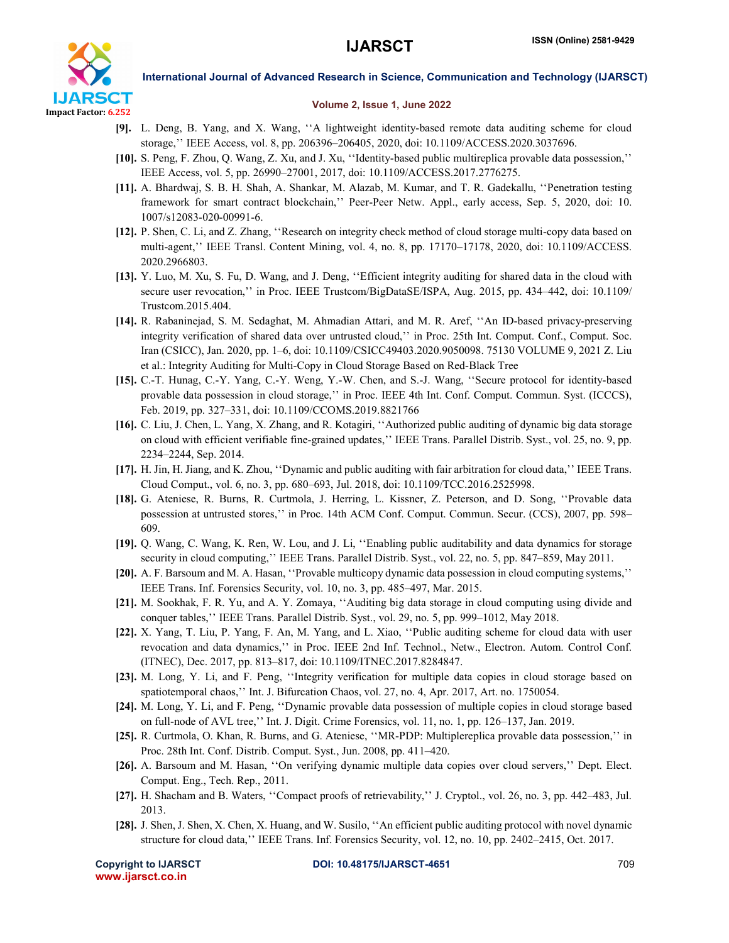

International Journal of Advanced Research in Science, Communication and Technology (IJARSCT)

## Volume 2, Issue 1, June 2022

- [9]. L. Deng, B. Yang, and X. Wang, ''A lightweight identity-based remote data auditing scheme for cloud storage,'' IEEE Access, vol. 8, pp. 206396–206405, 2020, doi: 10.1109/ACCESS.2020.3037696.
- [10]. S. Peng, F. Zhou, Q. Wang, Z. Xu, and J. Xu, ''Identity-based public multireplica provable data possession,'' IEEE Access, vol. 5, pp. 26990–27001, 2017, doi: 10.1109/ACCESS.2017.2776275.
- [11]. A. Bhardwaj, S. B. H. Shah, A. Shankar, M. Alazab, M. Kumar, and T. R. Gadekallu, ''Penetration testing framework for smart contract blockchain,'' Peer-Peer Netw. Appl., early access, Sep. 5, 2020, doi: 10. 1007/s12083-020-00991-6.
- [12]. P. Shen, C. Li, and Z. Zhang, ''Research on integrity check method of cloud storage multi-copy data based on multi-agent,'' IEEE Transl. Content Mining, vol. 4, no. 8, pp. 17170–17178, 2020, doi: 10.1109/ACCESS. 2020.2966803.
- [13]. Y. Luo, M. Xu, S. Fu, D. Wang, and J. Deng, "Efficient integrity auditing for shared data in the cloud with secure user revocation," in Proc. IEEE Trustcom/BigDataSE/ISPA, Aug. 2015, pp. 434–442, doi: 10.1109/ Trustcom.2015.404.
- [14]. R. Rabaninejad, S. M. Sedaghat, M. Ahmadian Attari, and M. R. Aref, ''An ID-based privacy-preserving integrity verification of shared data over untrusted cloud,'' in Proc. 25th Int. Comput. Conf., Comput. Soc. Iran (CSICC), Jan. 2020, pp. 1–6, doi: 10.1109/CSICC49403.2020.9050098. 75130 VOLUME 9, 2021 Z. Liu et al.: Integrity Auditing for Multi-Copy in Cloud Storage Based on Red-Black Tree
- [15]. C.-T. Hunag, C.-Y. Yang, C.-Y. Weng, Y.-W. Chen, and S.-J. Wang, ''Secure protocol for identity-based provable data possession in cloud storage,'' in Proc. IEEE 4th Int. Conf. Comput. Commun. Syst. (ICCCS), Feb. 2019, pp. 327–331, doi: 10.1109/CCOMS.2019.8821766
- [16]. C. Liu, J. Chen, L. Yang, X. Zhang, and R. Kotagiri, ''Authorized public auditing of dynamic big data storage on cloud with efficient verifiable fine-grained updates,'' IEEE Trans. Parallel Distrib. Syst., vol. 25, no. 9, pp. 2234–2244, Sep. 2014.
- [17]. H. Jin, H. Jiang, and K. Zhou, ''Dynamic and public auditing with fair arbitration for cloud data,'' IEEE Trans. Cloud Comput., vol. 6, no. 3, pp. 680–693, Jul. 2018, doi: 10.1109/TCC.2016.2525998.
- [18]. G. Ateniese, R. Burns, R. Curtmola, J. Herring, L. Kissner, Z. Peterson, and D. Song, ''Provable data possession at untrusted stores,'' in Proc. 14th ACM Conf. Comput. Commun. Secur. (CCS), 2007, pp. 598– 609.
- [19]. Q. Wang, C. Wang, K. Ren, W. Lou, and J. Li, ''Enabling public auditability and data dynamics for storage security in cloud computing,'' IEEE Trans. Parallel Distrib. Syst., vol. 22, no. 5, pp. 847–859, May 2011.
- [20]. A. F. Barsoum and M. A. Hasan, ''Provable multicopy dynamic data possession in cloud computing systems,'' IEEE Trans. Inf. Forensics Security, vol. 10, no. 3, pp. 485–497, Mar. 2015.
- [21]. M. Sookhak, F. R. Yu, and A. Y. Zomaya, ''Auditing big data storage in cloud computing using divide and conquer tables,'' IEEE Trans. Parallel Distrib. Syst., vol. 29, no. 5, pp. 999–1012, May 2018.
- [22]. X. Yang, T. Liu, P. Yang, F. An, M. Yang, and L. Xiao, ''Public auditing scheme for cloud data with user revocation and data dynamics,'' in Proc. IEEE 2nd Inf. Technol., Netw., Electron. Autom. Control Conf. (ITNEC), Dec. 2017, pp. 813–817, doi: 10.1109/ITNEC.2017.8284847.
- [23]. M. Long, Y. Li, and F. Peng, "Integrity verification for multiple data copies in cloud storage based on spatiotemporal chaos,'' Int. J. Bifurcation Chaos, vol. 27, no. 4, Apr. 2017, Art. no. 1750054.
- [24]. M. Long, Y. Li, and F. Peng, ''Dynamic provable data possession of multiple copies in cloud storage based on full-node of AVL tree,'' Int. J. Digit. Crime Forensics, vol. 11, no. 1, pp. 126–137, Jan. 2019.
- [25]. R. Curtmola, O. Khan, R. Burns, and G. Ateniese, ''MR-PDP: Multiplereplica provable data possession,'' in Proc. 28th Int. Conf. Distrib. Comput. Syst., Jun. 2008, pp. 411–420.
- [26]. A. Barsoum and M. Hasan, ''On verifying dynamic multiple data copies over cloud servers,'' Dept. Elect. Comput. Eng., Tech. Rep., 2011.
- [27]. H. Shacham and B. Waters, ''Compact proofs of retrievability,'' J. Cryptol., vol. 26, no. 3, pp. 442–483, Jul. 2013.
- [28]. J. Shen, J. Shen, X. Chen, X. Huang, and W. Susilo, ''An efficient public auditing protocol with novel dynamic structure for cloud data,'' IEEE Trans. Inf. Forensics Security, vol. 12, no. 10, pp. 2402–2415, Oct. 2017.